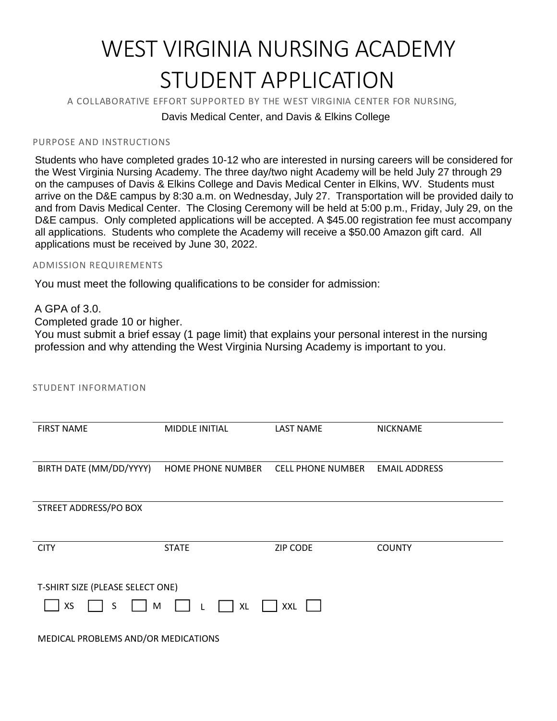# WEST VIRGINIA NURSING ACADEMY STUDENT APPLICATION

A COLLABORATIVE EFFORT SUPPORTED BY THE WEST VIRGINIA CENTER FOR NURSING,

## Davis Medical Center, and Davis & Elkins College

#### PURPOSE AND INSTRUCTIONS

Students who have completed grades 10-12 who are interested in nursing careers will be considered for the West Virginia Nursing Academy. The three day/two night Academy will be held July 27 through 29 on the campuses of Davis & Elkins College and Davis Medical Center in Elkins, WV. Students must arrive on the D&E campus by 8:30 a.m. on Wednesday, July 27. Transportation will be provided daily to and from Davis Medical Center. The Closing Ceremony will be held at 5:00 p.m., Friday, July 29, on the D&E campus. Only completed applications will be accepted. A \$45.00 registration fee must accompany all applications. Students who complete the Academy will receive a \$50.00 Amazon gift card. All applications must be received by June 30, 2022.

#### ADMISSION REQUIREMENTS

You must meet the following qualifications to be consider for admission:

#### A GPA of 3.0.

Completed grade 10 or higher.

You must submit a brief essay (1 page limit) that explains your personal interest in the nursing profession and why attending the West Virginia Nursing Academy is important to you.

| <b>STUDENT INFORMATION</b>                                           |                          |                          |                      |  |  |  |  |
|----------------------------------------------------------------------|--------------------------|--------------------------|----------------------|--|--|--|--|
| <b>FIRST NAME</b>                                                    | MIDDLE INITIAL           | <b>LAST NAME</b>         | <b>NICKNAME</b>      |  |  |  |  |
| BIRTH DATE (MM/DD/YYYY)                                              | <b>HOME PHONE NUMBER</b> | <b>CELL PHONE NUMBER</b> | <b>EMAIL ADDRESS</b> |  |  |  |  |
| STREET ADDRESS/PO BOX                                                |                          |                          |                      |  |  |  |  |
| <b>CITY</b>                                                          | <b>STATE</b>             | <b>ZIP CODE</b>          | <b>COUNTY</b>        |  |  |  |  |
| T-SHIRT SIZE (PLEASE SELECT ONE)<br>XS<br>S<br>M<br>XXL<br><b>XL</b> |                          |                          |                      |  |  |  |  |

MEDICAL PROBLEMS AND/OR MEDICATIONS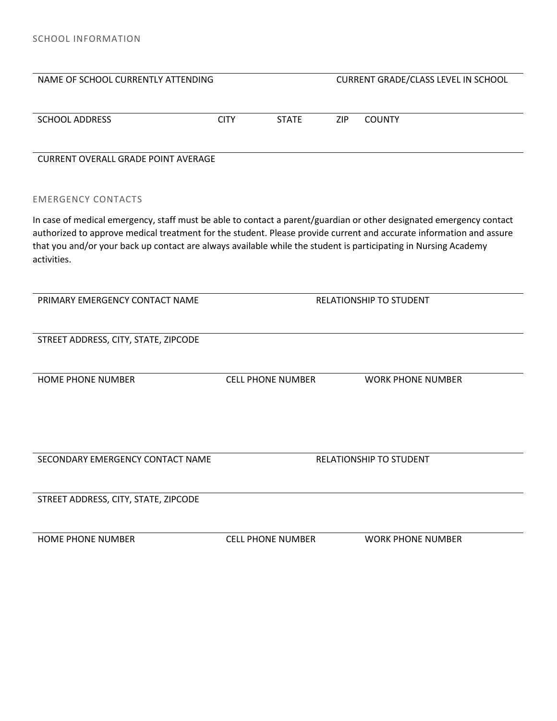| NAME OF SCHOOL CURRENTLY ATTENDING                                                                                                                                                                                                                                                                                                                                           |                                |              |            | CURRENT GRADE/CLASS LEVEL IN SCHOOL |
|------------------------------------------------------------------------------------------------------------------------------------------------------------------------------------------------------------------------------------------------------------------------------------------------------------------------------------------------------------------------------|--------------------------------|--------------|------------|-------------------------------------|
| <b>SCHOOL ADDRESS</b>                                                                                                                                                                                                                                                                                                                                                        | <b>CITY</b>                    | <b>STATE</b> | <b>ZIP</b> | <b>COUNTY</b>                       |
| <b>CURRENT OVERALL GRADE POINT AVERAGE</b>                                                                                                                                                                                                                                                                                                                                   |                                |              |            |                                     |
| <b>EMERGENCY CONTACTS</b>                                                                                                                                                                                                                                                                                                                                                    |                                |              |            |                                     |
| In case of medical emergency, staff must be able to contact a parent/guardian or other designated emergency contact<br>authorized to approve medical treatment for the student. Please provide current and accurate information and assure<br>that you and/or your back up contact are always available while the student is participating in Nursing Academy<br>activities. |                                |              |            |                                     |
| PRIMARY EMERGENCY CONTACT NAME                                                                                                                                                                                                                                                                                                                                               | <b>RELATIONSHIP TO STUDENT</b> |              |            |                                     |
| STREET ADDRESS, CITY, STATE, ZIPCODE                                                                                                                                                                                                                                                                                                                                         |                                |              |            |                                     |
| <b>HOME PHONE NUMBER</b>                                                                                                                                                                                                                                                                                                                                                     | <b>CELL PHONE NUMBER</b>       |              |            | <b>WORK PHONE NUMBER</b>            |
|                                                                                                                                                                                                                                                                                                                                                                              |                                |              |            |                                     |
| SECONDARY EMERGENCY CONTACT NAME                                                                                                                                                                                                                                                                                                                                             |                                |              |            | <b>RELATIONSHIP TO STUDENT</b>      |
| STREET ADDRESS, CITY, STATE, ZIPCODE                                                                                                                                                                                                                                                                                                                                         |                                |              |            |                                     |
| <b>HOME PHONE NUMBER</b>                                                                                                                                                                                                                                                                                                                                                     | <b>CELL PHONE NUMBER</b>       |              |            | <b>WORK PHONE NUMBER</b>            |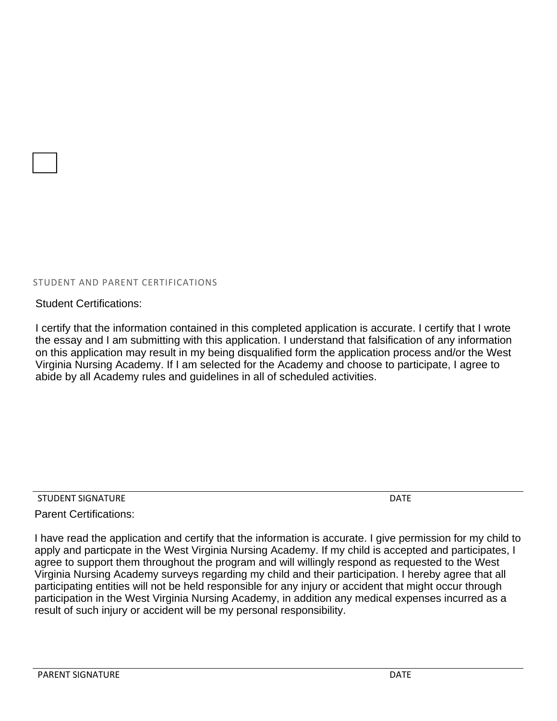#### STUDENT AND PARENT CERTIFICATIONS

Student Certifications:

I certify that the information contained in this completed application is accurate. I certify that I wrote the essay and I am submitting with this application. I understand that falsification of any information on this application may result in my being disqualified form the application process and/or the West Virginia Nursing Academy. If I am selected for the Academy and choose to participate, I agree to abide by all Academy rules and guidelines in all of scheduled activities.

STUDENT SIGNATURE **Example 20** STUDENT SIGNATURE

Parent Certifications:

I have read the application and certify that the information is accurate. I give permission for my child to apply and particpate in the West Virginia Nursing Academy. If my child is accepted and participates, I agree to support them throughout the program and will willingly respond as requested to the West Virginia Nursing Academy surveys regarding my child and their participation. I hereby agree that all participating entities will not be held responsible for any injury or accident that might occur through participation in the West Virginia Nursing Academy, in addition any medical expenses incurred as a result of such injury or accident will be my personal responsibility.